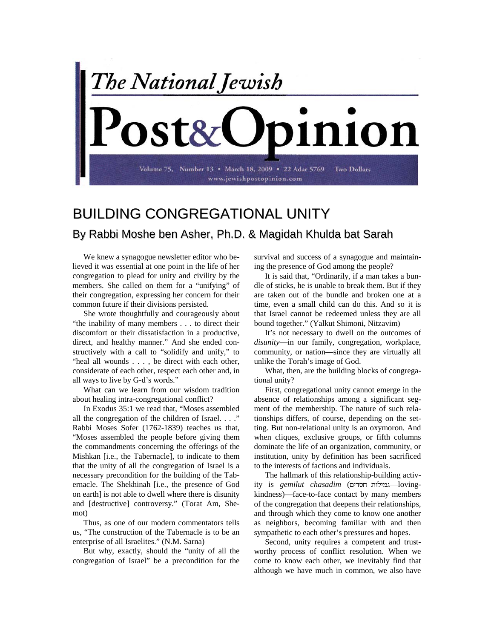

## BUILDING CONGREGATIONAL UNITY By Rabbi Moshe ben Asher, Ph.D. & Magidah Khulda bat Sarah

We knew a synagogue newsletter editor who believed it was essential at one point in the life of her congregation to plead for unity and civility by the members. She called on them for a "unifying" of their congregation, expressing her concern for their common future if their divisions persisted.

She wrote thoughtfully and courageously about "the inability of many members . . . to direct their discomfort or their dissatisfaction in a productive, direct, and healthy manner." And she ended constructively with a call to "solidify and unify," to "heal all wounds . . . , be direct with each other, considerate of each other, respect each other and, in all ways to live by G-d's words."

What can we learn from our wisdom tradition about healing intra-congregational conflict?

In Exodus 35:1 we read that, "Moses assembled all the congregation of the children of Israel. . . ." Rabbi Moses Sofer (1762-1839) teaches us that, "Moses assembled the people before giving them the commandments concerning the offerings of the Mishkan [i.e., the Tabernacle], to indicate to them that the unity of all the congregation of Israel is a necessary precondition for the building of the Tabernacle. The Shekhinah [i.e., the presence of God on earth] is not able to dwell where there is disunity and [destructive] controversy." (Torat Am, Shemot)

Thus, as one of our modern commentators tells us, "The construction of the Tabernacle is to be an enterprise of all Israelites." (N.M. Sarna)

But why, exactly, should the "unity of all the congregation of Israel" be a precondition for the survival and success of a synagogue and maintaining the presence of God among the people?

It is said that, "Ordinarily, if a man takes a bundle of sticks, he is unable to break them. But if they are taken out of the bundle and broken one at a time, even a small child can do this. And so it is that Israel cannot be redeemed unless they are all bound together." (Yalkut Shimoni, Nitzavim)

It's not necessary to dwell on the outcomes of *disunity*—in our family, congregation, workplace, community, or nation—since they are virtually all unlike the Torah's image of God.

What, then, are the building blocks of congregational unity?

First, congregational unity cannot emerge in the absence of relationships among a significant segment of the membership. The nature of such relationships differs, of course, depending on the setting. But non-relational unity is an oxymoron. And when cliques, exclusive groups, or fifth columns dominate the life of an organization, community, or institution, unity by definition has been sacrificed to the interests of factions and individuals.

The hallmark of this relationship-building activity is *gemilut chasadim* ( —lovingkindness)—face-to-face contact by many members of the congregation that deepens their relationships, and through which they come to know one another as neighbors, becoming familiar with and then sympathetic to each other's pressures and hopes.

Second, unity requires a competent and trustworthy process of conflict resolution. When we come to know each other, we inevitably find that although we have much in common, we also have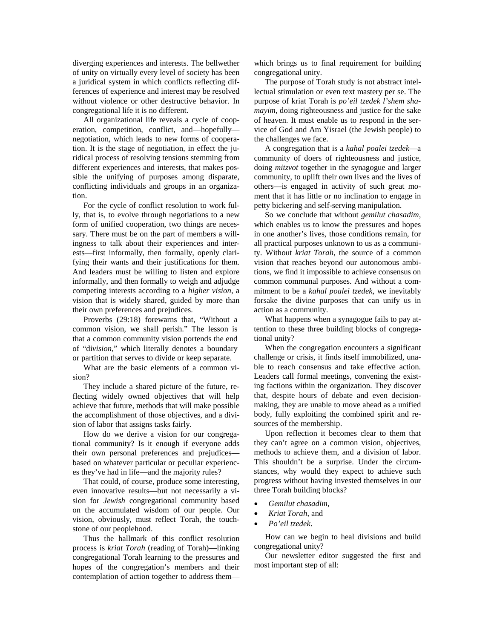diverging experiences and interests. The bellwether of unity on virtually every level of society has been a juridical system in which conflicts reflecting differences of experience and interest may be resolved without violence or other destructive behavior. In congregational life it is no different.

All organizational life reveals a cycle of cooperation, competition, conflict, and—hopefully negotiation, which leads to new forms of cooperation. It is the stage of negotiation, in effect the juridical process of resolving tensions stemming from different experiences and interests, that makes possible the unifying of purposes among disparate, conflicting individuals and groups in an organization.

For the cycle of conflict resolution to work fully, that is, to evolve through negotiations to a new form of unified cooperation, two things are necessary. There must be on the part of members a willingness to talk about their experiences and interests—first informally, then formally, openly clarifying their wants and their justifications for them. And leaders must be willing to listen and explore informally, and then formally to weigh and adjudge competing interests according to a *higher vision*, a vision that is widely shared, guided by more than their own preferences and prejudices.

Proverbs (29:18) forewarns that, "Without a common vision, we shall perish." The lesson is that a common community vision portends the end of "di*vision*," which literally denotes a boundary or partition that serves to divide or keep separate.

What are the basic elements of a common vision?

They include a shared picture of the future, reflecting widely owned objectives that will help achieve that future, methods that will make possible the accomplishment of those objectives, and a division of labor that assigns tasks fairly.

How do we derive a vision for our congregational community? Is it enough if everyone adds their own personal preferences and prejudices based on whatever particular or peculiar experiences they've had in life—and the majority rules?

That could, of course, produce some interesting, even innovative results—but not necessarily a vision for *Jewish* congregational community based on the accumulated wisdom of our people. Our vision, obviously, must reflect Torah, the touchstone of our peoplehood.

Thus the hallmark of this conflict resolution process is *kriat Torah* (reading of Torah)—linking congregational Torah learning to the pressures and hopes of the congregation's members and their contemplation of action together to address themwhich brings us to final requirement for building congregational unity.

The purpose of Torah study is not abstract intellectual stimulation or even text mastery per se. The purpose of kriat Torah is *po'eil tzedek l'shem shamayim*, doing righteousness and justice for the sake of heaven. It must enable us to respond in the service of God and Am Yisrael (the Jewish people) to the challenges we face.

A congregation that is a *kahal poalei tzedek*—a community of doers of righteousness and justice, doing *mitzvot* together in the synagogue and larger community, to uplift their own lives and the lives of others—is engaged in activity of such great moment that it has little or no inclination to engage in petty bickering and self-serving manipulation.

So we conclude that without *gemilut chasadim*, which enables us to know the pressures and hopes in one another's lives, those conditions remain, for all practical purposes unknown to us as a community. Without *kriat Torah*, the source of a common vision that reaches beyond our autonomous ambitions, we find it impossible to achieve consensus on common communal purposes. And without a commitment to be a *kahal poalei tzedek*, we inevitably forsake the divine purposes that can unify us in action as a community.

What happens when a synagogue fails to pay attention to these three building blocks of congregational unity?

When the congregation encounters a significant challenge or crisis, it finds itself immobilized, unable to reach consensus and take effective action. Leaders call formal meetings, convening the existing factions within the organization. They discover that, despite hours of debate and even decisionmaking, they are unable to move ahead as a unified body, fully exploiting the combined spirit and resources of the membership.

Upon reflection it becomes clear to them that they can't agree on a common vision, objectives, methods to achieve them, and a division of labor. This shouldn't be a surprise. Under the circumstances, why would they expect to achieve such progress without having invested themselves in our three Torah building blocks?

- *Gemilut chasadim*,
- *Kriat Torah*, and
- *Po'eil tzedek*.

How can we begin to heal divisions and build congregational unity?

Our newsletter editor suggested the first and most important step of all: